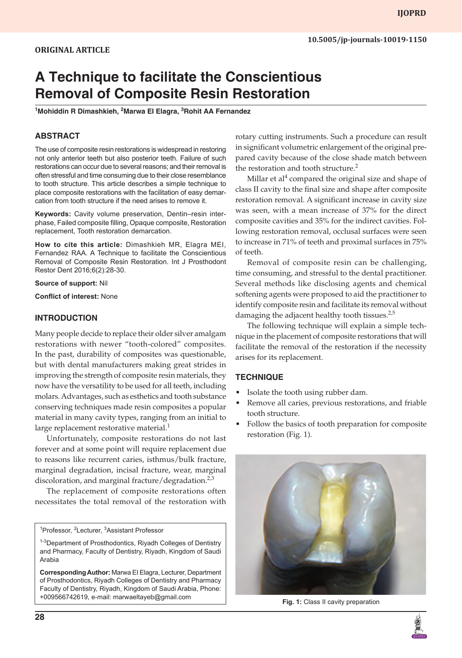# **A Technique to facilitate the Conscientious Removal of Composite Resin Restoration**

<sup>1</sup>Mohiddin R Dimashkieh, <sup>2</sup>Marwa El Elagra, <sup>3</sup>Rohit AA Fernandez

## **ABSTRACT**

The use of composite resin restorations is widespread in restoring not only anterior teeth but also posterior teeth. Failure of such restorations can occur due to several reasons; and their removal is often stressful and time consuming due to their close resemblance to tooth structure. This article describes a simple technique to place composite restorations with the facilitation of easy demarcation from tooth structure if the need arises to remove it.

**Keywords:** Cavity volume preservation, Dentin–resin interphase, Failed composite filling, Opaque composite, Restoration replacement, Tooth restoration demarcation.

**How to cite this article:** Dimashkieh MR, Elagra MEI, Fernandez RAA. A Technique to facilitate the Conscientious Removal of Composite Resin Restoration. Int J Prosthodont Restor Dent 2016;6(2):28-30.

**Source of support:** Nil

**Conflict of interest:** None

#### **INTRODUCTION**

Many people decide to replace their older silver amalgam restorations with newer "tooth-colored" composites. In the past, durability of composites was questionable, but with dental manufacturers making great strides in improving the strength of composite resin materials, they now have the versatility to be used for all teeth, including molars. Advantages, such as esthetics and tooth substance conserving techniques made resin composites a popular material in many cavity types, ranging from an initial to large replacement restorative material.<sup>1</sup>

Unfortunately, composite restorations do not last forever and at some point will require replacement due to reasons like recurrent caries, isthmus/bulk fracture, marginal degradation, incisal fracture, wear, marginal discoloration, and marginal fracture/degradation. $2,3$ 

The replacement of composite restorations often necessitates the total removal of the restoration with

<sup>1</sup>Professor, <sup>2</sup>Lecturer, <sup>3</sup>Assistant Professor

rotary cutting instruments. Such a procedure can result in significant volumetric enlargement of the original prepared cavity because of the close shade match between the restoration and tooth structure.<sup>2</sup>

Millar et al<sup>4</sup> compared the original size and shape of class II cavity to the final size and shape after composite restoration removal. A significant increase in cavity size was seen, with a mean increase of 37% for the direct composite cavities and 35% for the indirect cavities. Following restoration removal, occlusal surfaces were seen to increase in 71% of teeth and proximal surfaces in 75% of teeth.

Removal of composite resin can be challenging, time consuming, and stressful to the dental practitioner. Several methods like disclosing agents and chemical softening agents were proposed to aid the practitioner to identify composite resin and facilitate its removal without damaging the adjacent healthy tooth tissues. $2.5$ 

The following technique will explain a simple technique in the placement of composite restorations that will facilitate the removal of the restoration if the necessity arises for its replacement.

### **TECHNIQUE**

- Isolate the tooth using rubber dam.
- Remove all caries, previous restorations, and friable tooth structure.
- Follow the basics of tooth preparation for composite restoration (Fig. 1).



<sup>&</sup>lt;sup>1-3</sup>Department of Prosthodontics, Riyadh Colleges of Dentistry and Pharmacy, Faculty of Dentistry, Riyadh, Kingdom of Saudi Arabia

**Corresponding Author:** Marwa EI Elagra, Lecturer, Department of Prosthodontics, Riyadh Colleges of Dentistry and Pharmacy Faculty of Dentistry, Riyadh, Kingdom of Saudi Arabia, Phone: +009566742619, e-mail: marwaeltayeb@gmail.com **Fig. 1:** Class II cavity preparation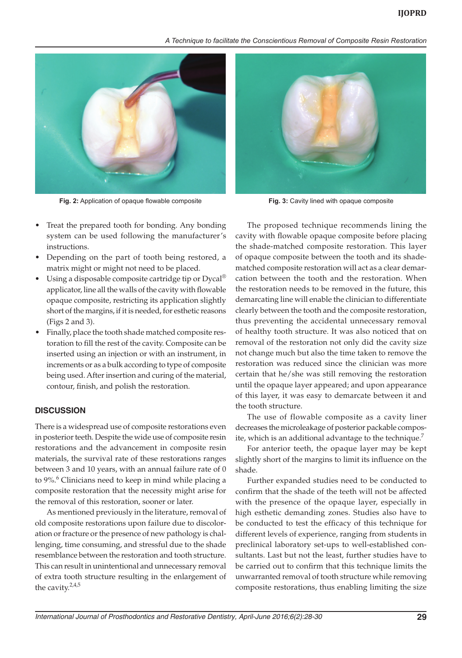#### *A Technique to facilitate the Conscientious Removal of Composite Resin Restoration*



**Fig. 2:** Application of opaque flowable composite **Fig. 3:** Cavity lined with opaque composite

- Treat the prepared tooth for bonding. Any bonding system can be used following the manufacturer's instructions.
- Depending on the part of tooth being restored, a matrix might or might not need to be placed.
- Using a disposable composite cartridge tip or  $Dycal^{\circledR}$ applicator, line all the walls of the cavity with flowable opaque composite, restricting its application slightly short of the margins, if it is needed, for esthetic reasons (Figs 2 and 3).
- Finally, place the tooth shade matched composite restoration to fill the rest of the cavity. Composite can be inserted using an injection or with an instrument, in increments or as a bulk according to type of composite being used. After insertion and curing of the material, contour, finish, and polish the restoration.

#### **DISCUSSION**

There is a widespread use of composite restorations even in posterior teeth. Despite the wide use of composite resin restorations and the advancement in composite resin materials, the survival rate of these restorations ranges between 3 and 10 years, with an annual failure rate of 0 to 9%.<sup>6</sup> Clinicians need to keep in mind while placing a composite restoration that the necessity might arise for the removal of this restoration, sooner or later.

As mentioned previously in the literature, removal of old composite restorations upon failure due to discoloration or fracture or the presence of new pathology is challenging, time consuming, and stressful due to the shade resemblance between the restoration and tooth structure. This can result in unintentional and unnecessary removal of extra tooth structure resulting in the enlargement of the cavity. $2,4,5$ 



The proposed technique recommends lining the cavity with flowable opaque composite before placing the shade-matched composite restoration. This layer of opaque composite between the tooth and its shadematched composite restoration will act as a clear demarcation between the tooth and the restoration. When the restoration needs to be removed in the future, this demarcating line will enable the clinician to differentiate clearly between the tooth and the composite restoration, thus preventing the accidental unnecessary removal of healthy tooth structure. It was also noticed that on removal of the restoration not only did the cavity size not change much but also the time taken to remove the restoration was reduced since the clinician was more certain that he/she was still removing the restoration until the opaque layer appeared; and upon appearance of this layer, it was easy to demarcate between it and the tooth structure.

The use of flowable composite as a cavity liner decreases the microleakage of posterior packable composite, which is an additional advantage to the technique. $<sup>7</sup>$ </sup>

For anterior teeth, the opaque layer may be kept slightly short of the margins to limit its influence on the shade.

Further expanded studies need to be conducted to confirm that the shade of the teeth will not be affected with the presence of the opaque layer, especially in high esthetic demanding zones. Studies also have to be conducted to test the efficacy of this technique for different levels of experience, ranging from students in preclinical laboratory set-ups to well-established consultants. Last but not the least, further studies have to be carried out to confirm that this technique limits the unwarranted removal of tooth structure while removing composite restorations, thus enabling limiting the size